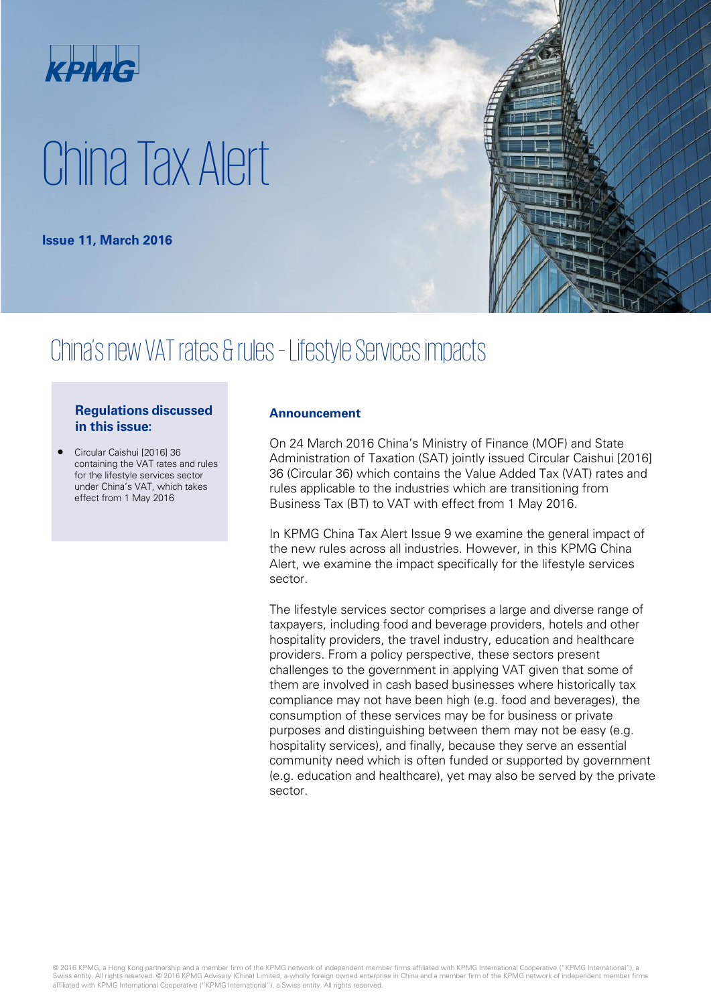

# China Tax Alert

**Issue 11, March 2016**

## China's new VAT rates & rules– Lifestyle Services impacts

#### **Regulations discussed in this issue:**

• Circular Caishui [2016] 36 containing the VAT rates and rules for the lifestyle services sector under China's VAT, which takes effect from 1 May 2016

#### **Announcement**

On 24 March 2016 China's Ministry of Finance (MOF) and State Administration of Taxation (SAT) jointly issued Circular Caishui [2016] 36 (Circular 36) which contains the Value Added Tax (VAT) rates and rules applicable to the industries which are transitioning from Business Tax (BT) to VAT with effect from 1 May 2016.

In KPMG China Tax Alert Issue 9 we examine the general impact of the new rules across all industries. However, in this KPMG China Alert, we examine the impact specifically for the lifestyle services sector.

The lifestyle services sector comprises a large and diverse range of taxpayers, including food and beverage providers, hotels and other hospitality providers, the travel industry, education and healthcare providers. From a policy perspective, these sectors present challenges to the government in applying VAT given that some of them are involved in cash based businesses where historically tax compliance may not have been high (e.g. food and beverages), the consumption of these services may be for business or private purposes and distinguishing between them may not be easy (e.g. hospitality services), and finally, because they serve an essential community need which is often funded or supported by government (e.g. education and healthcare), yet may also be served by the private sector.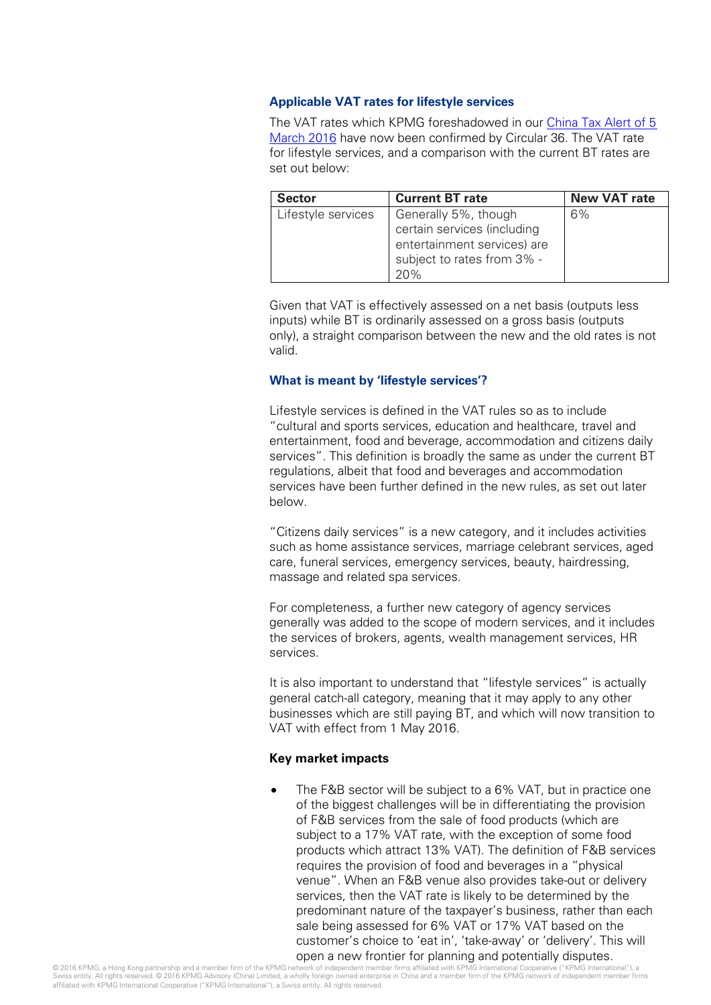#### **Applicable VAT rates for lifestyle services**

The VAT rates which KPMG foreshadowed in our China Tax Alert of 5 [March 2016](http://www.kpmg.com/CN/en/IssuesAndInsights/ArticlesPublications/Newsletters/China-Tax-Weekly-Update/Pages/china-tax-weekly-update-08.aspx) have now been confirmed by Circular 36. The VAT rate for lifestyle services, and a comparison with the current BT rates are set out below:

| <b>Sector</b>      | <b>Current BT rate</b>                                                                                                  | <b>New VAT rate</b> |
|--------------------|-------------------------------------------------------------------------------------------------------------------------|---------------------|
| Lifestyle services | Generally 5%, though<br>certain services (including<br>entertainment services) are<br>subject to rates from 3% -<br>20% | 6%                  |

Given that VAT is effectively assessed on a net basis (outputs less inputs) while BT is ordinarily assessed on a gross basis (outputs only), a straight comparison between the new and the old rates is not valid.

#### **What is meant by 'lifestyle services'?**

Lifestyle services is defined in the VAT rules so as to include "cultural and sports services, education and healthcare, travel and entertainment, food and beverage, accommodation and citizens daily services". This definition is broadly the same as under the current BT regulations, albeit that food and beverages and accommodation services have been further defined in the new rules, as set out later below.

"Citizens daily services" is a new category, and it includes activities such as home assistance services, marriage celebrant services, aged care, funeral services, emergency services, beauty, hairdressing, massage and related spa services.

For completeness, a further new category of agency services generally was added to the scope of modern services, and it includes the services of brokers, agents, wealth management services, HR services.

It is also important to understand that "lifestyle services" is actually general catch-all category, meaning that it may apply to any other businesses which are still paying BT, and which will now transition to VAT with effect from 1 May 2016.

#### **Key market impacts**

The F&B sector will be subject to a 6% VAT, but in practice one of the biggest challenges will be in differentiating the provision of F&B services from the sale of food products (which are subject to a 17% VAT rate, with the exception of some food products which attract 13% VAT). The definition of F&B services requires the provision of food and beverages in a "physical venue". When an F&B venue also provides take-out or delivery services, then the VAT rate is likely to be determined by the predominant nature of the taxpayer's business, rather than each sale being assessed for 6% VAT or 17% VAT based on the customer's choice to 'eat in', 'take-away' or 'delivery'. This will open a new frontier for planning and potentially disputes.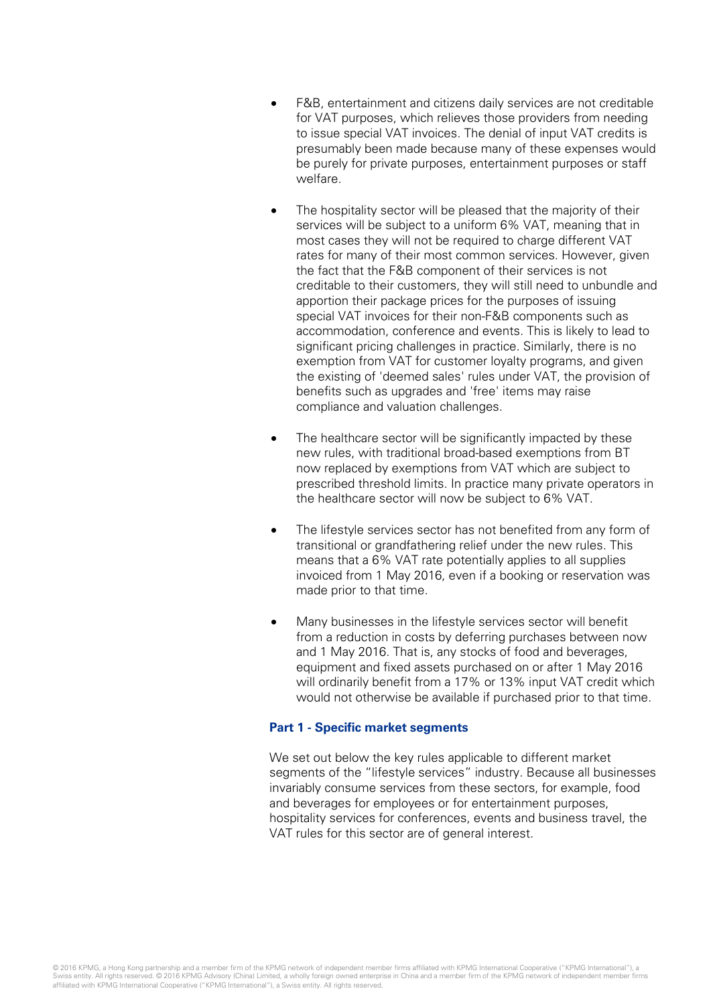- F&B, entertainment and citizens daily services are not creditable for VAT purposes, which relieves those providers from needing to issue special VAT invoices. The denial of input VAT credits is presumably been made because many of these expenses would be purely for private purposes, entertainment purposes or staff welfare.
- The hospitality sector will be pleased that the majority of their services will be subject to a uniform 6% VAT, meaning that in most cases they will not be required to charge different VAT rates for many of their most common services. However, given the fact that the F&B component of their services is not creditable to their customers, they will still need to unbundle and apportion their package prices for the purposes of issuing special VAT invoices for their non-F&B components such as accommodation, conference and events. This is likely to lead to significant pricing challenges in practice. Similarly, there is no exemption from VAT for customer loyalty programs, and given the existing of 'deemed sales' rules under VAT, the provision of benefits such as upgrades and 'free' items may raise compliance and valuation challenges.
- The healthcare sector will be significantly impacted by these new rules, with traditional broad-based exemptions from BT now replaced by exemptions from VAT which are subject to prescribed threshold limits. In practice many private operators in the healthcare sector will now be subject to 6% VAT.
- The lifestyle services sector has not benefited from any form of transitional or grandfathering relief under the new rules. This means that a 6% VAT rate potentially applies to all supplies invoiced from 1 May 2016, even if a booking or reservation was made prior to that time.
- Many businesses in the lifestyle services sector will benefit from a reduction in costs by deferring purchases between now and 1 May 2016. That is, any stocks of food and beverages, equipment and fixed assets purchased on or after 1 May 2016 will ordinarily benefit from a 17% or 13% input VAT credit which would not otherwise be available if purchased prior to that time.

#### **Part 1 - Specific market segments**

We set out below the key rules applicable to different market segments of the "lifestyle services" industry. Because all businesses invariably consume services from these sectors, for example, food and beverages for employees or for entertainment purposes, hospitality services for conferences, events and business travel, the VAT rules for this sector are of general interest.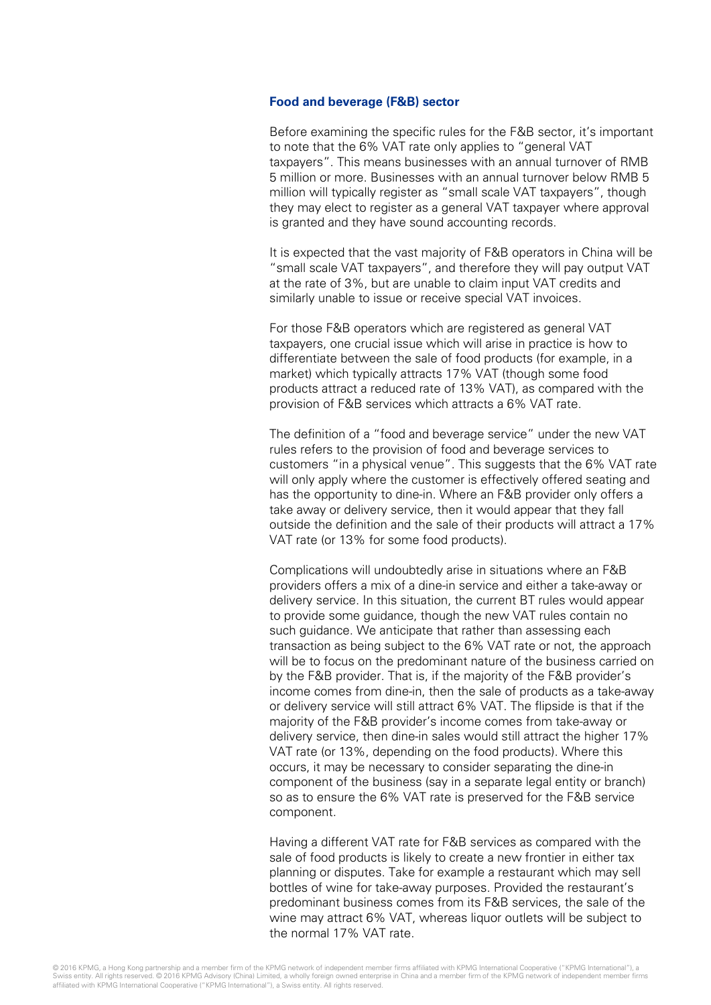#### **Food and beverage (F&B) sector**

Before examining the specific rules for the F&B sector, it's important to note that the 6% VAT rate only applies to "general VAT taxpayers". This means businesses with an annual turnover of RMB 5 million or more. Businesses with an annual turnover below RMB 5 million will typically register as "small scale VAT taxpayers", though they may elect to register as a general VAT taxpayer where approval is granted and they have sound accounting records.

It is expected that the vast majority of F&B operators in China will be "small scale VAT taxpayers", and therefore they will pay output VAT at the rate of 3%, but are unable to claim input VAT credits and similarly unable to issue or receive special VAT invoices.

For those F&B operators which are registered as general VAT taxpayers, one crucial issue which will arise in practice is how to differentiate between the sale of food products (for example, in a market) which typically attracts 17% VAT (though some food products attract a reduced rate of 13% VAT), as compared with the provision of F&B services which attracts a 6% VAT rate.

The definition of a "food and beverage service" under the new VAT rules refers to the provision of food and beverage services to customers "in a physical venue". This suggests that the 6% VAT rate will only apply where the customer is effectively offered seating and has the opportunity to dine-in. Where an F&B provider only offers a take away or delivery service, then it would appear that they fall outside the definition and the sale of their products will attract a 17% VAT rate (or 13% for some food products).

Complications will undoubtedly arise in situations where an F&B providers offers a mix of a dine-in service and either a take-away or delivery service. In this situation, the current BT rules would appear to provide some guidance, though the new VAT rules contain no such guidance. We anticipate that rather than assessing each transaction as being subject to the 6% VAT rate or not, the approach will be to focus on the predominant nature of the business carried on by the F&B provider. That is, if the majority of the F&B provider's income comes from dine-in, then the sale of products as a take-away or delivery service will still attract 6% VAT. The flipside is that if the majority of the F&B provider's income comes from take-away or delivery service, then dine-in sales would still attract the higher 17% VAT rate (or 13%, depending on the food products). Where this occurs, it may be necessary to consider separating the dine-in component of the business (say in a separate legal entity or branch) so as to ensure the 6% VAT rate is preserved for the F&B service component.

Having a different VAT rate for F&B services as compared with the sale of food products is likely to create a new frontier in either tax planning or disputes. Take for example a restaurant which may sell bottles of wine for take-away purposes. Provided the restaurant's predominant business comes from its F&B services, the sale of the wine may attract 6% VAT, whereas liquor outlets will be subject to the normal 17% VAT rate.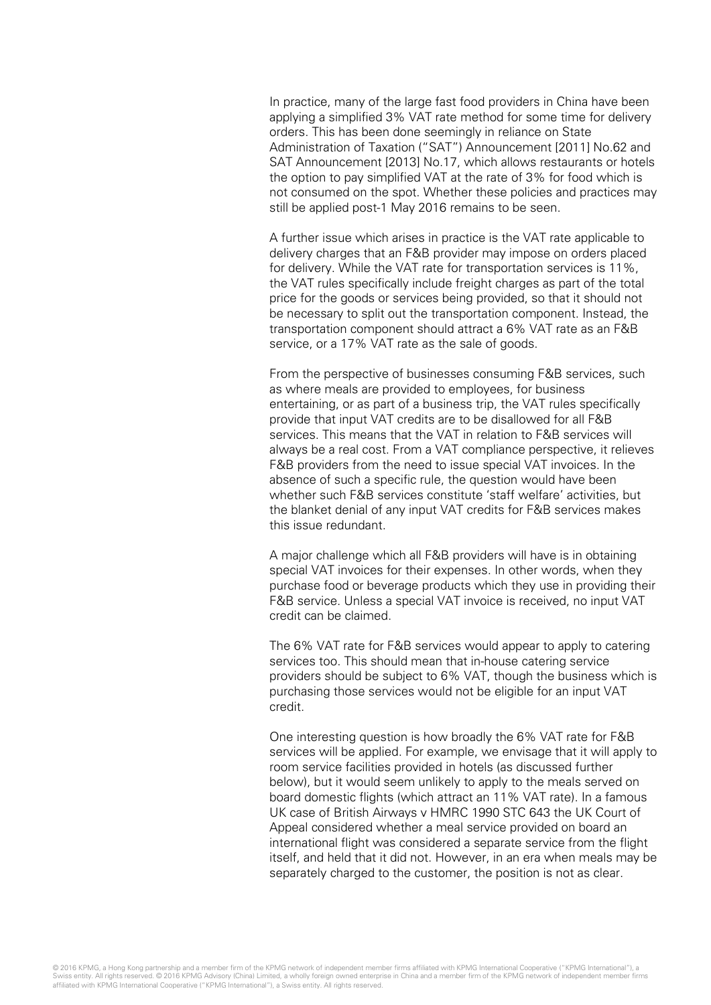In practice, many of the large fast food providers in China have been applying a simplified 3% VAT rate method for some time for delivery orders. This has been done seemingly in reliance on State Administration of Taxation ("SAT") Announcement [2011] No.62 and SAT Announcement [2013] No.17, which allows restaurants or hotels the option to pay simplified VAT at the rate of 3% for food which is not consumed on the spot. Whether these policies and practices may still be applied post-1 May 2016 remains to be seen.

A further issue which arises in practice is the VAT rate applicable to delivery charges that an F&B provider may impose on orders placed for delivery. While the VAT rate for transportation services is 11%, the VAT rules specifically include freight charges as part of the total price for the goods or services being provided, so that it should not be necessary to split out the transportation component. Instead, the transportation component should attract a 6% VAT rate as an F&B service, or a 17% VAT rate as the sale of goods.

From the perspective of businesses consuming F&B services, such as where meals are provided to employees, for business entertaining, or as part of a business trip, the VAT rules specifically provide that input VAT credits are to be disallowed for all F&B services. This means that the VAT in relation to F&B services will always be a real cost. From a VAT compliance perspective, it relieves F&B providers from the need to issue special VAT invoices. In the absence of such a specific rule, the question would have been whether such F&B services constitute 'staff welfare' activities, but the blanket denial of any input VAT credits for F&B services makes this issue redundant.

A major challenge which all F&B providers will have is in obtaining special VAT invoices for their expenses. In other words, when they purchase food or beverage products which they use in providing their F&B service. Unless a special VAT invoice is received, no input VAT credit can be claimed.

The 6% VAT rate for F&B services would appear to apply to catering services too. This should mean that in-house catering service providers should be subject to 6% VAT, though the business which is purchasing those services would not be eligible for an input VAT credit.

One interesting question is how broadly the 6% VAT rate for F&B services will be applied. For example, we envisage that it will apply to room service facilities provided in hotels (as discussed further below), but it would seem unlikely to apply to the meals served on board domestic flights (which attract an 11% VAT rate). In a famous UK case of British Airways v HMRC 1990 STC 643 the UK Court of Appeal considered whether a meal service provided on board an international flight was considered a separate service from the flight itself, and held that it did not. However, in an era when meals may be separately charged to the customer, the position is not as clear.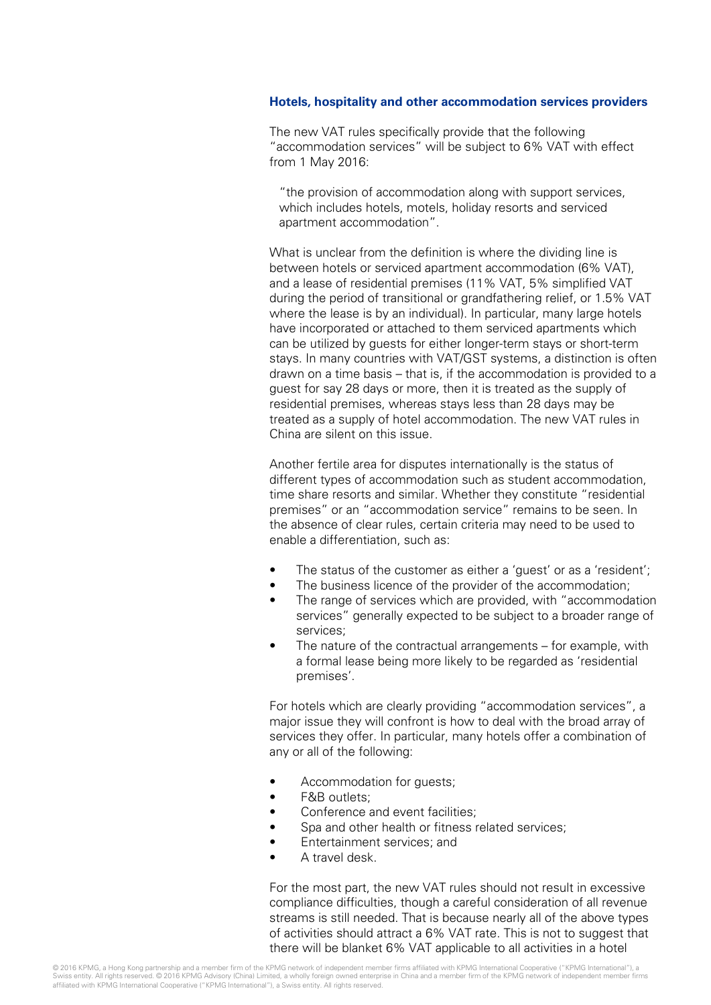#### **Hotels, hospitality and other accommodation services providers**

The new VAT rules specifically provide that the following "accommodation services" will be subject to 6% VAT with effect from 1 May 2016:

"the provision of accommodation along with support services, which includes hotels, motels, holiday resorts and serviced apartment accommodation".

What is unclear from the definition is where the dividing line is between hotels or serviced apartment accommodation (6% VAT), and a lease of residential premises (11% VAT, 5% simplified VAT during the period of transitional or grandfathering relief, or 1.5% VAT where the lease is by an individual). In particular, many large hotels have incorporated or attached to them serviced apartments which can be utilized by guests for either longer-term stays or short-term stays. In many countries with VAT/GST systems, a distinction is often drawn on a time basis – that is, if the accommodation is provided to a guest for say 28 days or more, then it is treated as the supply of residential premises, whereas stays less than 28 days may be treated as a supply of hotel accommodation. The new VAT rules in China are silent on this issue.

Another fertile area for disputes internationally is the status of different types of accommodation such as student accommodation, time share resorts and similar. Whether they constitute "residential premises" or an "accommodation service" remains to be seen. In the absence of clear rules, certain criteria may need to be used to enable a differentiation, such as:

- The status of the customer as either a 'guest' or as a 'resident';
- The business licence of the provider of the accommodation;
- The range of services which are provided, with "accommodation" services" generally expected to be subject to a broader range of services;
- The nature of the contractual arrangements for example, with a formal lease being more likely to be regarded as 'residential premises'.

For hotels which are clearly providing "accommodation services", a major issue they will confront is how to deal with the broad array of services they offer. In particular, many hotels offer a combination of any or all of the following:

- Accommodation for guests;
- F&B outlets;
- Conference and event facilities;
- Spa and other health or fitness related services;
- Entertainment services; and
- A travel desk.

For the most part, the new VAT rules should not result in excessive compliance difficulties, though a careful consideration of all revenue streams is still needed. That is because nearly all of the above types of activities should attract a 6% VAT rate. This is not to suggest that there will be blanket 6% VAT applicable to all activities in a hotel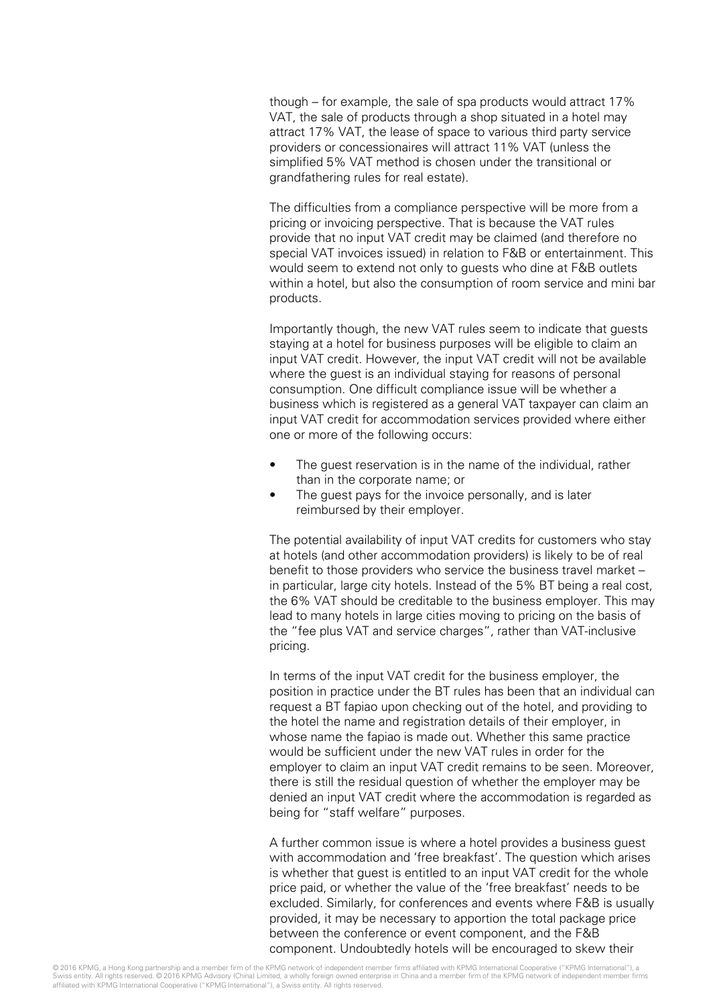though – for example, the sale of spa products would attract 17% VAT, the sale of products through a shop situated in a hotel may attract 17% VAT, the lease of space to various third party service providers or concessionaires will attract 11% VAT (unless the simplified 5% VAT method is chosen under the transitional or grandfathering rules for real estate).

The difficulties from a compliance perspective will be more from a pricing or invoicing perspective. That is because the VAT rules provide that no input VAT credit may be claimed (and therefore no special VAT invoices issued) in relation to F&B or entertainment. This would seem to extend not only to guests who dine at F&B outlets within a hotel, but also the consumption of room service and mini bar products.

Importantly though, the new VAT rules seem to indicate that guests staying at a hotel for business purposes will be eligible to claim an input VAT credit. However, the input VAT credit will not be available where the guest is an individual staying for reasons of personal consumption. One difficult compliance issue will be whether a business which is registered as a general VAT taxpayer can claim an input VAT credit for accommodation services provided where either one or more of the following occurs:

- The guest reservation is in the name of the individual, rather than in the corporate name; or
- The guest pays for the invoice personally, and is later reimbursed by their employer.

The potential availability of input VAT credits for customers who stay at hotels (and other accommodation providers) is likely to be of real benefit to those providers who service the business travel market – in particular, large city hotels. Instead of the 5% BT being a real cost, the 6% VAT should be creditable to the business employer. This may lead to many hotels in large cities moving to pricing on the basis of the "fee plus VAT and service charges", rather than VAT-inclusive pricing.

In terms of the input VAT credit for the business employer, the position in practice under the BT rules has been that an individual can request a BT fapiao upon checking out of the hotel, and providing to the hotel the name and registration details of their employer, in whose name the fapiao is made out. Whether this same practice would be sufficient under the new VAT rules in order for the employer to claim an input VAT credit remains to be seen. Moreover, there is still the residual question of whether the employer may be denied an input VAT credit where the accommodation is regarded as being for "staff welfare" purposes.

A further common issue is where a hotel provides a business guest with accommodation and 'free breakfast'. The question which arises is whether that guest is entitled to an input VAT credit for the whole price paid, or whether the value of the 'free breakfast' needs to be excluded. Similarly, for conferences and events where F&B is usually provided, it may be necessary to apportion the total package price between the conference or event component, and the F&B component. Undoubtedly hotels will be encouraged to skew their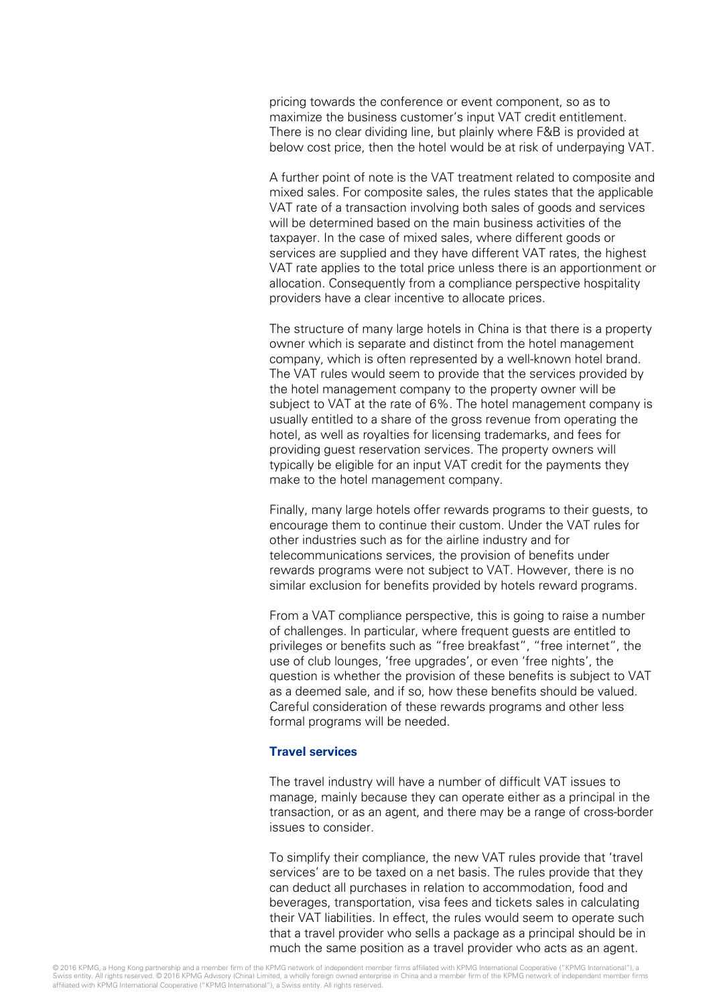pricing towards the conference or event component, so as to maximize the business customer's input VAT credit entitlement. There is no clear dividing line, but plainly where F&B is provided at below cost price, then the hotel would be at risk of underpaying VAT.

A further point of note is the VAT treatment related to composite and mixed sales. For composite sales, the rules states that the applicable VAT rate of a transaction involving both sales of goods and services will be determined based on the main business activities of the taxpayer. In the case of mixed sales, where different goods or services are supplied and they have different VAT rates, the highest VAT rate applies to the total price unless there is an apportionment or allocation. Consequently from a compliance perspective hospitality providers have a clear incentive to allocate prices.

The structure of many large hotels in China is that there is a property owner which is separate and distinct from the hotel management company, which is often represented by a well-known hotel brand. The VAT rules would seem to provide that the services provided by the hotel management company to the property owner will be subject to VAT at the rate of 6%. The hotel management company is usually entitled to a share of the gross revenue from operating the hotel, as well as royalties for licensing trademarks, and fees for providing guest reservation services. The property owners will typically be eligible for an input VAT credit for the payments they make to the hotel management company.

Finally, many large hotels offer rewards programs to their guests, to encourage them to continue their custom. Under the VAT rules for other industries such as for the airline industry and for telecommunications services, the provision of benefits under rewards programs were not subject to VAT. However, there is no similar exclusion for benefits provided by hotels reward programs.

From a VAT compliance perspective, this is going to raise a number of challenges. In particular, where frequent guests are entitled to privileges or benefits such as "free breakfast", "free internet", the use of club lounges, 'free upgrades', or even 'free nights', the question is whether the provision of these benefits is subject to VAT as a deemed sale, and if so, how these benefits should be valued. Careful consideration of these rewards programs and other less formal programs will be needed.

#### **Travel services**

The travel industry will have a number of difficult VAT issues to manage, mainly because they can operate either as a principal in the transaction, or as an agent, and there may be a range of cross-border issues to consider.

To simplify their compliance, the new VAT rules provide that 'travel services' are to be taxed on a net basis. The rules provide that they can deduct all purchases in relation to accommodation, food and beverages, transportation, visa fees and tickets sales in calculating their VAT liabilities. In effect, the rules would seem to operate such that a travel provider who sells a package as a principal should be in much the same position as a travel provider who acts as an agent.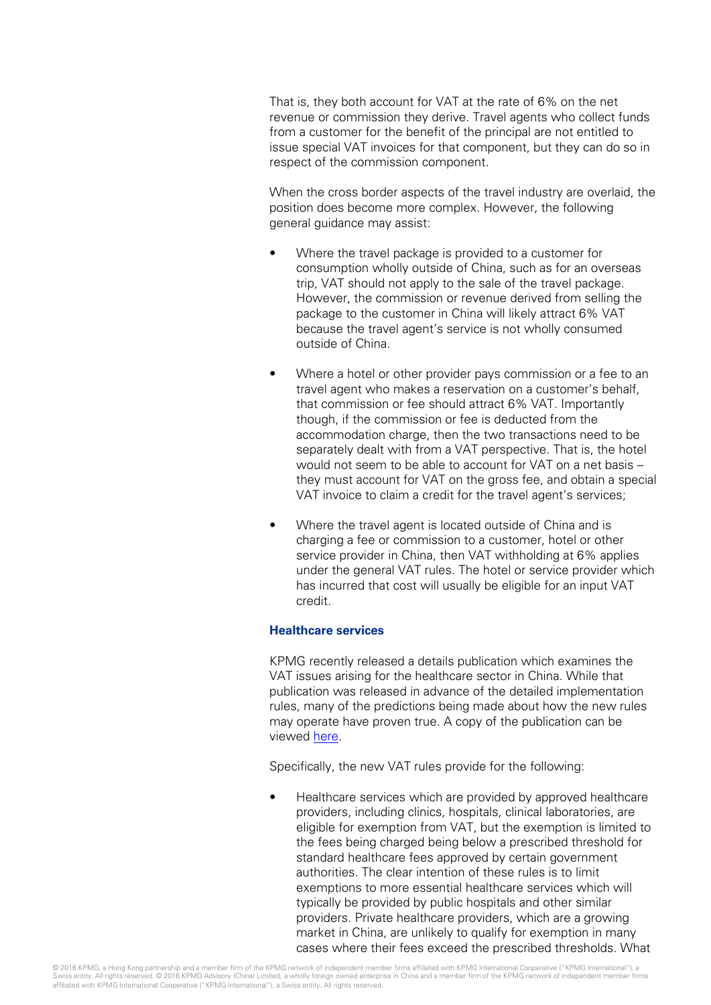That is, they both account for VAT at the rate of 6% on the net revenue or commission they derive. Travel agents who collect funds from a customer for the benefit of the principal are not entitled to issue special VAT invoices for that component, but they can do so in respect of the commission component.

When the cross border aspects of the travel industry are overlaid, the position does become more complex. However, the following general guidance may assist:

- Where the travel package is provided to a customer for consumption wholly outside of China, such as for an overseas trip, VAT should not apply to the sale of the travel package. However, the commission or revenue derived from selling the package to the customer in China will likely attract 6% VAT because the travel agent's service is not wholly consumed outside of China.
- Where a hotel or other provider pays commission or a fee to an travel agent who makes a reservation on a customer's behalf, that commission or fee should attract 6% VAT. Importantly though, if the commission or fee is deducted from the accommodation charge, then the two transactions need to be separately dealt with from a VAT perspective. That is, the hotel would not seem to be able to account for VAT on a net basis – they must account for VAT on the gross fee, and obtain a special VAT invoice to claim a credit for the travel agent's services;
- Where the travel agent is located outside of China and is charging a fee or commission to a customer, hotel or other service provider in China, then VAT withholding at 6% applies under the general VAT rules. The hotel or service provider which has incurred that cost will usually be eligible for an input VAT credit.

#### **Healthcare services**

KPMG recently released a details publication which examines the VAT issues arising for the healthcare sector in China. While that publication was released in advance of the detailed implementation rules, many of the predictions being made about how the new rules may operate have proven true. A copy of the publication can be viewed [here.](http://www.kpmg.com/cn/en/issuesandinsights/articlespublications/pages/vat-healthcare-sector-in-china.aspx)

Specifically, the new VAT rules provide for the following:

• Healthcare services which are provided by approved healthcare providers, including clinics, hospitals, clinical laboratories, are eligible for exemption from VAT, but the exemption is limited to the fees being charged being below a prescribed threshold for standard healthcare fees approved by certain government authorities. The clear intention of these rules is to limit exemptions to more essential healthcare services which will typically be provided by public hospitals and other similar providers. Private healthcare providers, which are a growing market in China, are unlikely to qualify for exemption in many cases where their fees exceed the prescribed thresholds. What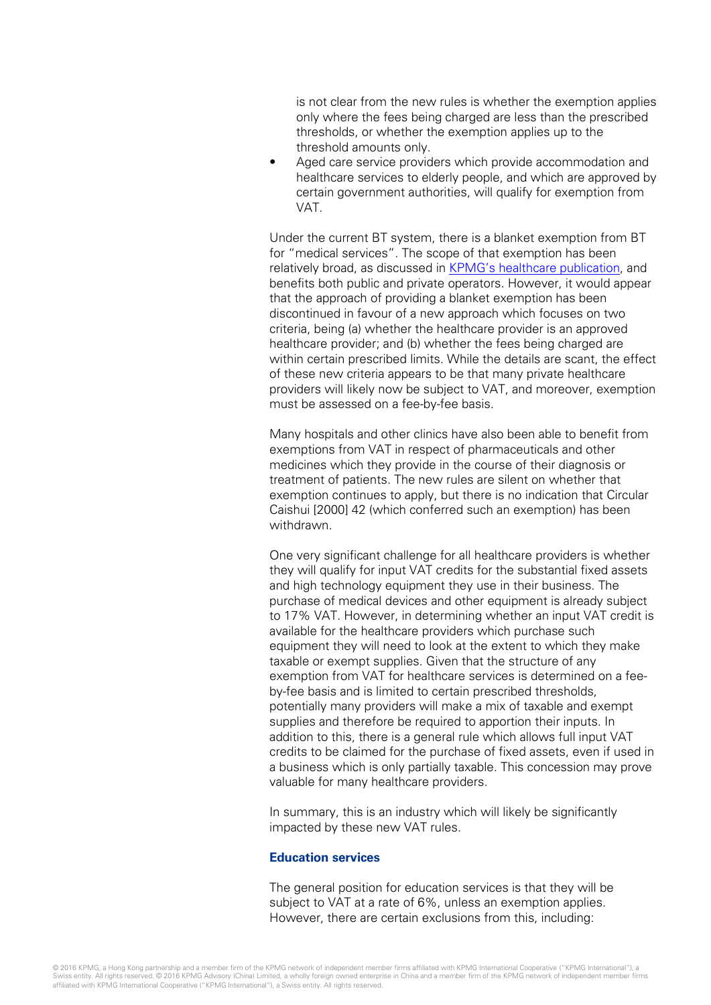is not clear from the new rules is whether the exemption applies only where the fees being charged are less than the prescribed thresholds, or whether the exemption applies up to the threshold amounts only.

Aged care service providers which provide accommodation and healthcare services to elderly people, and which are approved by certain government authorities, will qualify for exemption from VAT.

Under the current BT system, there is a blanket exemption from BT for "medical services". The scope of that exemption has been relatively broad, as discussed in [KPMG's healthcare publication,](http://www.kpmg.com/cn/en/issuesandinsights/articlespublications/pages/vat-healthcare-sector-in-china.aspx) and benefits both public and private operators. However, it would appear that the approach of providing a blanket exemption has been discontinued in favour of a new approach which focuses on two criteria, being (a) whether the healthcare provider is an approved healthcare provider; and (b) whether the fees being charged are within certain prescribed limits. While the details are scant, the effect of these new criteria appears to be that many private healthcare providers will likely now be subject to VAT, and moreover, exemption must be assessed on a fee-by-fee basis.

Many hospitals and other clinics have also been able to benefit from exemptions from VAT in respect of pharmaceuticals and other medicines which they provide in the course of their diagnosis or treatment of patients. The new rules are silent on whether that exemption continues to apply, but there is no indication that Circular Caishui [2000] 42 (which conferred such an exemption) has been withdrawn.

One very significant challenge for all healthcare providers is whether they will qualify for input VAT credits for the substantial fixed assets and high technology equipment they use in their business. The purchase of medical devices and other equipment is already subject to 17% VAT. However, in determining whether an input VAT credit is available for the healthcare providers which purchase such equipment they will need to look at the extent to which they make taxable or exempt supplies. Given that the structure of any exemption from VAT for healthcare services is determined on a feeby-fee basis and is limited to certain prescribed thresholds, potentially many providers will make a mix of taxable and exempt supplies and therefore be required to apportion their inputs. In addition to this, there is a general rule which allows full input VAT credits to be claimed for the purchase of fixed assets, even if used in a business which is only partially taxable. This concession may prove valuable for many healthcare providers.

In summary, this is an industry which will likely be significantly impacted by these new VAT rules.

#### **Education services**

The general position for education services is that they will be subject to VAT at a rate of 6%, unless an exemption applies. However, there are certain exclusions from this, including: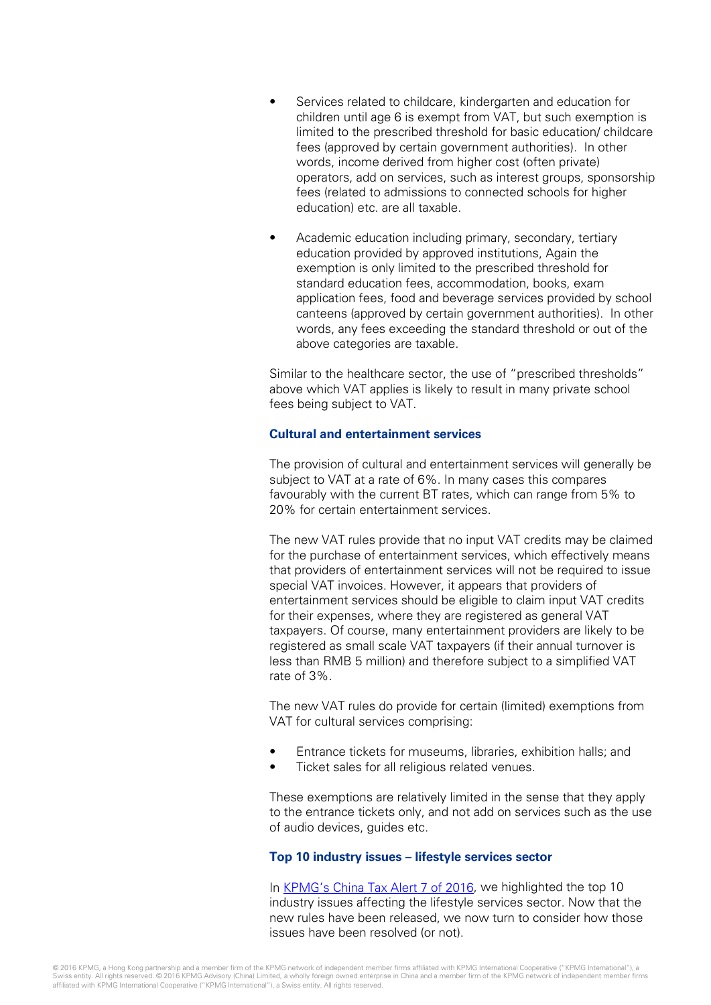- Services related to childcare, kindergarten and education for children until age 6 is exempt from VAT, but such exemption is limited to the prescribed threshold for basic education/ childcare fees (approved by certain government authorities). In other words, income derived from higher cost (often private) operators, add on services, such as interest groups, sponsorship fees (related to admissions to connected schools for higher education) etc. are all taxable.
- Academic education including primary, secondary, tertiary education provided by approved institutions, Again the exemption is only limited to the prescribed threshold for standard education fees, accommodation, books, exam application fees, food and beverage services provided by school canteens (approved by certain government authorities). In other words, any fees exceeding the standard threshold or out of the above categories are taxable.

Similar to the healthcare sector, the use of "prescribed thresholds" above which VAT applies is likely to result in many private school fees being subject to VAT.

#### **Cultural and entertainment services**

The provision of cultural and entertainment services will generally be subject to VAT at a rate of 6%. In many cases this compares favourably with the current BT rates, which can range from 5% to 20% for certain entertainment services.

The new VAT rules provide that no input VAT credits may be claimed for the purchase of entertainment services, which effectively means that providers of entertainment services will not be required to issue special VAT invoices. However, it appears that providers of entertainment services should be eligible to claim input VAT credits for their expenses, where they are registered as general VAT taxpayers. Of course, many entertainment providers are likely to be registered as small scale VAT taxpayers (if their annual turnover is less than RMB 5 million) and therefore subject to a simplified VAT rate of 3%.

The new VAT rules do provide for certain (limited) exemptions from VAT for cultural services comprising:

- Entrance tickets for museums, libraries, exhibition halls; and
- Ticket sales for all religious related venues.

These exemptions are relatively limited in the sense that they apply to the entrance tickets only, and not add on services such as the use of audio devices, guides etc.

#### **Top 10 industry issues – lifestyle services sector**

In [KPMG's China Tax Alert 7](http://www.kpmg.com/CN/en/IssuesAndInsights/ArticlesPublications/Newsletters/China-Tax-Weekly-Update/Pages/china-tax-weekly-update-08.aspx) of 2016, we highlighted the top 10 industry issues affecting the lifestyle services sector. Now that the new rules have been released, we now turn to consider how those issues have been resolved (or not).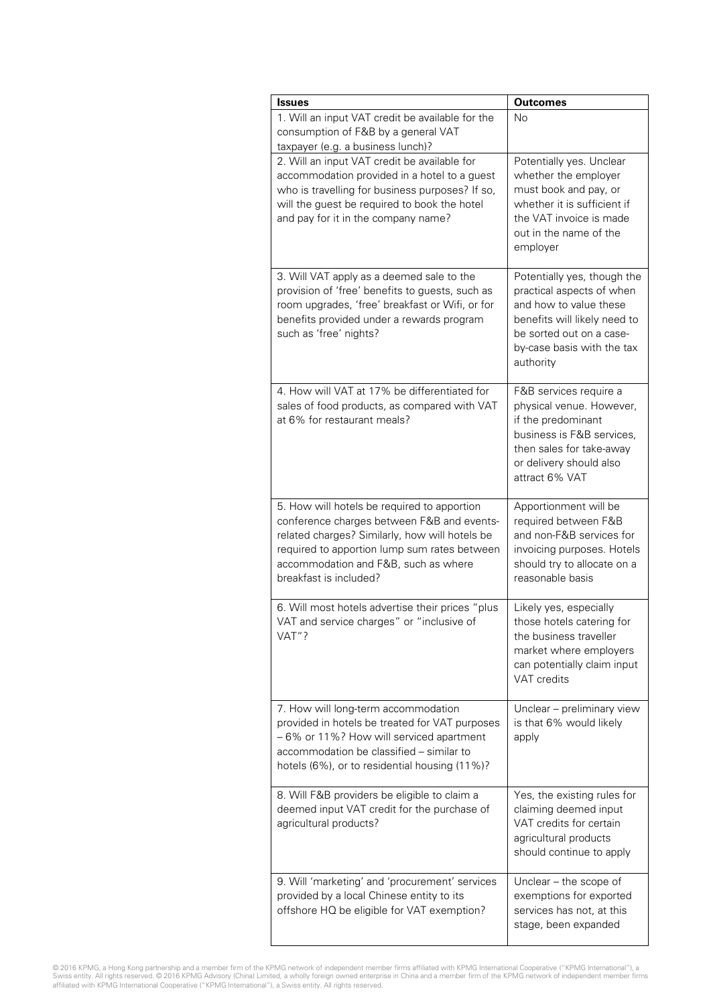| <b>Issues</b>                                                                                                                                                                                                                                                 | <b>Outcomes</b>                                                                                                                                                                           |
|---------------------------------------------------------------------------------------------------------------------------------------------------------------------------------------------------------------------------------------------------------------|-------------------------------------------------------------------------------------------------------------------------------------------------------------------------------------------|
| 1. Will an input VAT credit be available for the<br>consumption of F&B by a general VAT<br>taxpayer (e.g. a business lunch)?                                                                                                                                  | Nο                                                                                                                                                                                        |
| 2. Will an input VAT credit be available for<br>accommodation provided in a hotel to a guest<br>who is travelling for business purposes? If so,<br>will the guest be required to book the hotel<br>and pay for it in the company name?                        | Potentially yes. Unclear<br>whether the employer<br>must book and pay, or<br>whether it is sufficient if<br>the VAT invoice is made<br>out in the name of the<br>employer                 |
| 3. Will VAT apply as a deemed sale to the<br>provision of 'free' benefits to guests, such as<br>room upgrades, 'free' breakfast or Wifi, or for<br>benefits provided under a rewards program<br>such as 'free' nights?                                        | Potentially yes, though the<br>practical aspects of when<br>and how to value these<br>benefits will likely need to<br>be sorted out on a case-<br>by-case basis with the tax<br>authority |
| 4. How will VAT at 17% be differentiated for<br>sales of food products, as compared with VAT<br>at 6% for restaurant meals?                                                                                                                                   | F&B services require a<br>physical venue. However,<br>if the predominant<br>business is F&B services.<br>then sales for take-away<br>or delivery should also<br>attract 6% VAT            |
| 5. How will hotels be required to apportion<br>conference charges between F&B and events-<br>related charges? Similarly, how will hotels be<br>required to apportion lump sum rates between<br>accommodation and F&B, such as where<br>breakfast is included? | Apportionment will be<br>required between F&B<br>and non-F&B services for<br>invoicing purposes. Hotels<br>should try to allocate on a<br>reasonable basis                                |
| 6. Will most hotels advertise their prices "plus<br>VAT and service charges" or "inclusive of<br>VAT"?                                                                                                                                                        | Likely yes, especially<br>those hotels catering for<br>the business traveller<br>market where employers<br>can potentially claim input<br><b>VAT</b> credits                              |
| 7. How will long-term accommodation<br>provided in hotels be treated for VAT purposes<br>-6% or 11%? How will serviced apartment<br>accommodation be classified - similar to<br>hotels (6%), or to residential housing (11%)?                                 | Unclear - preliminary view<br>is that 6% would likely<br>apply                                                                                                                            |
| 8. Will F&B providers be eligible to claim a<br>deemed input VAT credit for the purchase of<br>agricultural products?                                                                                                                                         | Yes, the existing rules for<br>claiming deemed input<br>VAT credits for certain<br>agricultural products<br>should continue to apply                                                      |
| 9. Will 'marketing' and 'procurement' services<br>provided by a local Chinese entity to its<br>offshore HQ be eligible for VAT exemption?                                                                                                                     | Unclear - the scope of<br>exemptions for exported<br>services has not, at this<br>stage, been expanded                                                                                    |

© 2016 KPMG, a Hong Kong partnership and a member firm of the KPMG network of independent member firms affiliated with KPMG International Cooperative ("KPMG International"), a<br>Swiss entity. All rights reserved. © 2016 KPMG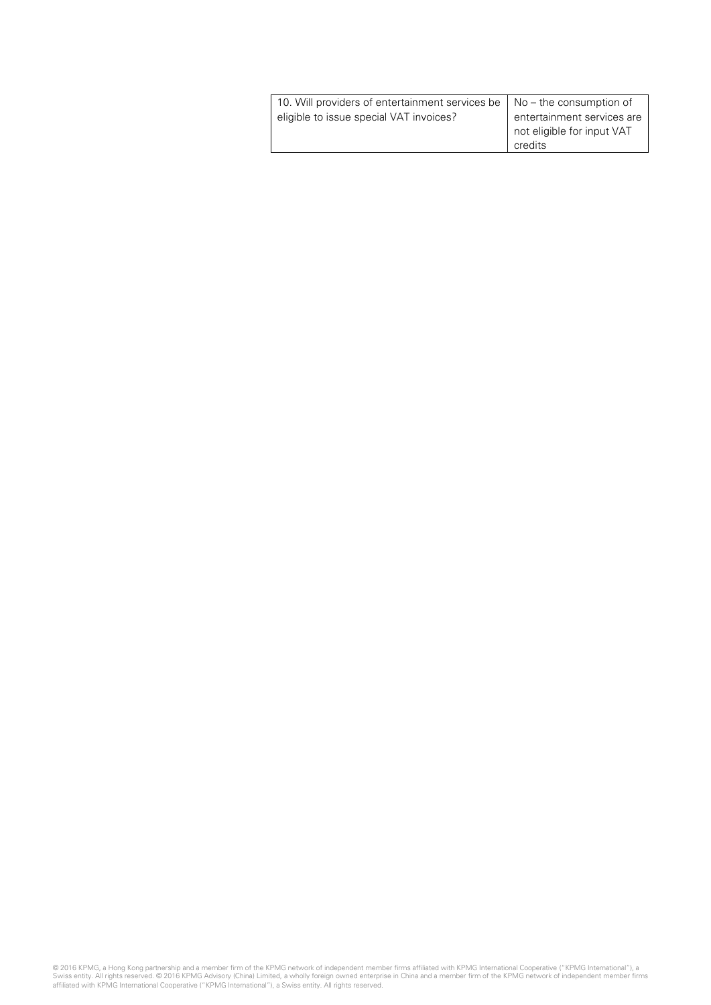| 10. Will providers of entertainment services be   No - the consumption of |                            |
|---------------------------------------------------------------------------|----------------------------|
| eligible to issue special VAT invoices?                                   | entertainment services are |
|                                                                           | not eligible for input VAT |
|                                                                           | credits                    |